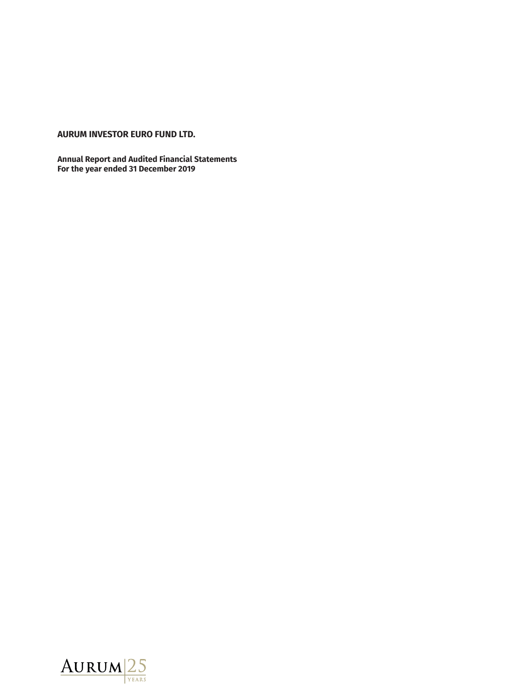# **AURUM INVESTOR EURO FUND LTD.**

**Annual Report and Audited Financial Statements For the year ended 31 December 2019**

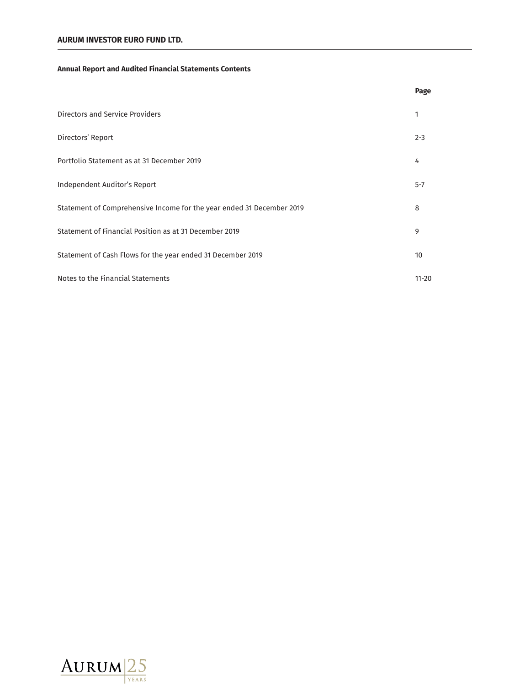# **Annual Report and Audited Financial Statements Contents**

|                                                                       | Page      |
|-----------------------------------------------------------------------|-----------|
| Directors and Service Providers                                       | 1         |
| Directors' Report                                                     | $2 - 3$   |
| Portfolio Statement as at 31 December 2019                            | 4         |
| Independent Auditor's Report                                          | $5 - 7$   |
| Statement of Comprehensive Income for the year ended 31 December 2019 | 8         |
| Statement of Financial Position as at 31 December 2019                | 9         |
| Statement of Cash Flows for the year ended 31 December 2019           | 10        |
| Notes to the Financial Statements                                     | $11 - 20$ |

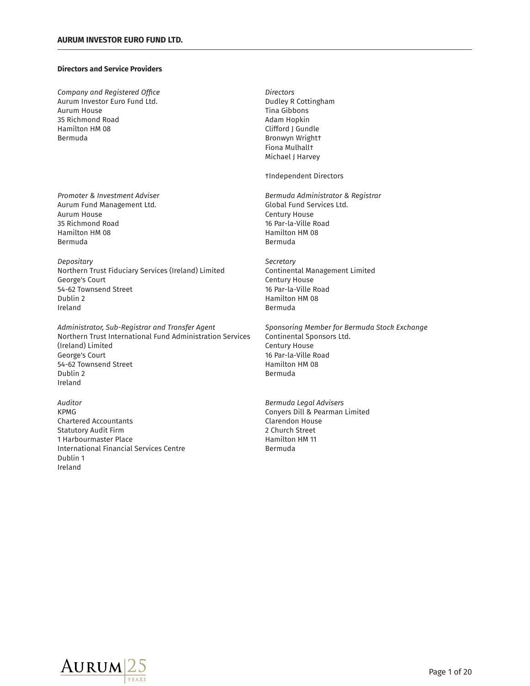# **Directors and Service Providers**

*Company and Registered* Aurum Investor Euro Fund Ltd.<br>
Aurum House Containing Aurum House Contains Aurum House Contains Aurum House Contains Aurum Aurum Aurum Aurum 35 Richmond Road<br>Hamilton HM 08 Bermuda Bronwyn Wright†

Aurum Fund Management Ltd. The Controller of Global Fund Services Ltd. Aurum House **Century House** 35 Richmond Road 16 Par-la-Ville Road Hamilton HM 08 Hamilton HM 08 Bermuda **Bermuda** Bermuda

*Depositary*<br> *Northern Trust Fiduciary Services (Ireland) Limited for a continental Management Limited* Northern Trust Fiduciary Services (Ireland) Limited George's Court **Century House** 54-62 Townsend Street 16 Par-la-Ville Road Dublin 2 Hamilton HM 08 Ireland **Bermuda** 

*Administrator, Sub-Registrar and Transfer Agent* Northern Trust International Fund Administration Services Continental Sponsors Ltd. (Ireland) Limited Century House George's Court **16 Par-la-Ville Road** 54-62 Townsend Street **Hamilton HM 08** Dublin 2 **Bermuda** Ireland

*Auditor Bermuda Legal Advisers* KPMG Conyers Dill & Pearman Limited Chartered Accountants Clarendon House Statutory Audit Firm 2 Church Street 1 Harbourmaster Place **Hamilton HM** 11 International Financial Services Centre **Bermuda** Dublin 1 Ireland

Directors Tina Gibbons<br>Adam Hopkin Clifford J Gundle Fiona Mulhall† Michael J Harvey

†Independent Directors

*Promoter & Investment Adviser Bermuda Administrator & Registrar*

*ƟȜŸƟɧ-LJȲɧ-%ƟɧȜʙƌŔ-êʄȲƂȄ-D˂ƂǝŔȢNJƟ*

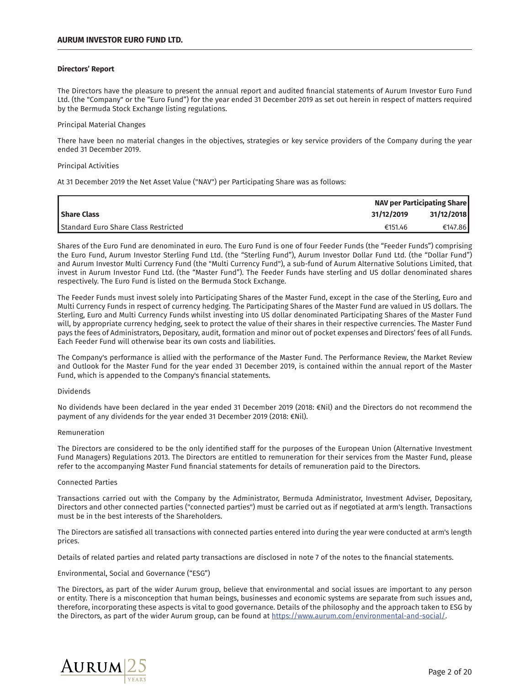# **Directors' Report**

The Directors have the pleasure to present the annual report and audited financial statements of Aurum Investor Euro Fund Ltd. (the "Company" or the "Euro Fund") for the year ended 31 December 2019 as set out herein in respect of matters required by the Bermuda Stock Exchange listing regulations.

# Principal Material Changes

There have been no material changes in the objectives, strategies or key service providers of the Company during the year ended 31 December 2019.

#### Principal Activities

At 31 December 2019 the Net Asset Value ("NAV") per Participating Share was as follows:

|                                                 | <b>NAV per Participating Share</b> |  |
|-------------------------------------------------|------------------------------------|--|
| 31/12/2019<br><b>Share Class</b>                | 31/12/2018                         |  |
| Standard Euro Share Class Restricted<br>€151.46 | €147.86                            |  |

Shares of the Euro Fund are denominated in euro. The Euro Fund is one of four Feeder Funds (the "Feeder Funds") comprising the Euro Fund, Aurum Investor Sterling Fund Ltd. (the "Sterling Fund"), Aurum Investor Dollar Fund Ltd. (the "Dollar Fund") and Aurum Investor Multi Currency Fund (the "Multi Currency Fund"), a sub-fund of Aurum Alternative Solutions Limited, that invest in Aurum Investor Fund Ltd. (the "Master Fund"). The Feeder Funds have sterling and US dollar denominated shares respectively. The Euro Fund is listed on the Bermuda Stock Exchange.

The Feeder Funds must invest solely into Participating Shares of the Master Fund, except in the case of the Sterling, Euro and Multi Currency Funds in respect of currency hedging. The Participating Shares of the Master Fund are valued in US dollars. The Sterling, Euro and Multi Currency Funds whilst investing into US dollar denominated Participating Shares of the Master Fund will, by appropriate currency hedging, seek to protect the value of their shares in their respective currencies. The Master Fund pays the fees of Administrators, Depositary, audit, formation and minor out of pocket expenses and Directors' fees of all Funds. Each Feeder Fund will otherwise bear its own costs and liabilities.

The Company's performance is allied with the performance of the Master Fund. The Performance Review, the Market Review and Outlook for the Master Fund for the year ended 31 December 2019, is contained within the annual report of the Master Fund, which is appended to the Company's financial statements.

# Dividends

No dividends have been declared in the year ended 31 December 2019 (2018: €Nil) and the Directors do not recommend the payment of any dividends for the year ended 31 December 2019 (2018:  $\epsilon$ Nil).

#### Remuneration

The Directors are considered to be the only identified staff for the purposes of the European Union (Alternative Investment Fund Managers) Regulations 2013. The Directors are entitled to remuneration for their services from the Master Fund, please refer to the accompanying Master Fund financial statements for details of remuneration paid to the Directors.

# Connected Parties

Transactions carried out with the Company by the Administrator, Bermuda Administrator, Investment Adviser, Depositary, Directors and other connected parties ("connected parties") must be carried out as if negotiated at arm's length. Transactions must be in the best interests of the Shareholders.

The Directors are satisfied all transactions with connected parties entered into during the year were conducted at arm's length prices.

Details of related parties and related party transactions are disclosed in note 7 of the notes to the financial statements.

# Environmental, Social and Governance ("ESG")

The Directors, as part of the wider Aurum group, believe that environmental and social issues are important to any person or entity. There is a misconception that human beings, businesses and economic systems are separate from such issues and, therefore, incorporating these aspects is vital to good governance. Details of the philosophy and the approach taken to ESG by the Directors, as part of the wider Aurum group, can be found at https://www.aurum.com/environmental-and-social/.

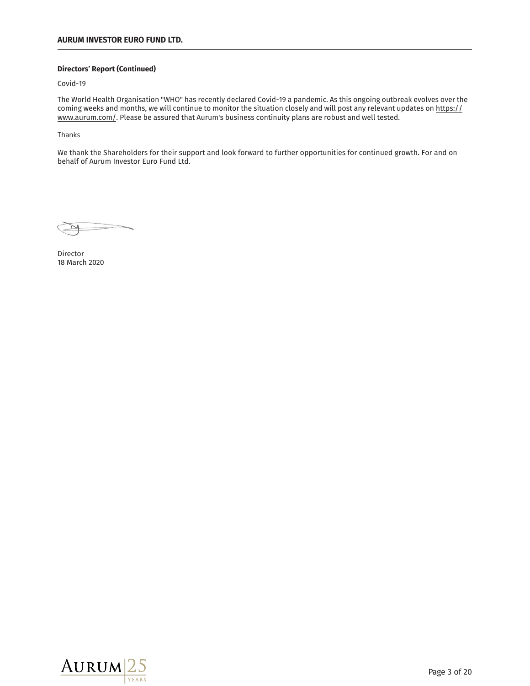# **Directors' Report (Continued)**

Covid-19

The World Health Organisation "WHO" has recently declared Covid-19 a pandemic. As this ongoing outbreak evolves over the coming weeks and months, we will continue to monitor the situation closely and will post any relevant updates on https:// www.aurum.com/. Please be assured that Aurum's business continuity plans are robust and well tested.

Thanks

We thank the Shareholders for their support and look forward to further opportunities for continued growth. For and on behalf of Aurum Investor Euro Fund Ltd.

Director 18 March 2020

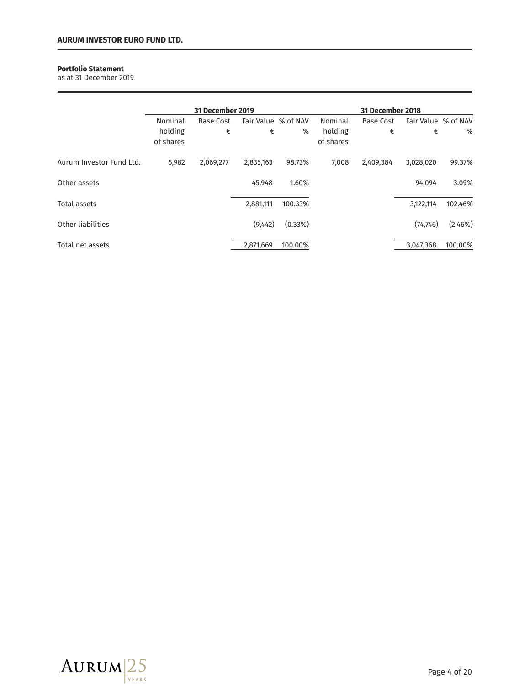# **Portfolio Statement**

as at 31 December 2019

|                          |                      | <b>31 December 2019</b> |                     |         |                      | <b>31 December 2018</b> |                     |         |
|--------------------------|----------------------|-------------------------|---------------------|---------|----------------------|-------------------------|---------------------|---------|
|                          | Nominal              | <b>Base Cost</b>        | Fair Value % of NAV |         | Nominal              | <b>Base Cost</b>        | Fair Value % of NAV |         |
|                          | holding<br>of shares | €                       | €                   | %       | holding<br>of shares | €                       | €                   | %       |
| Aurum Investor Fund Ltd. | 5,982                | 2,069,277               | 2,835,163           | 98.73%  | 7,008                | 2,409,384               | 3,028,020           | 99.37%  |
| Other assets             |                      |                         | 45,948              | 1.60%   |                      |                         | 94,094              | 3.09%   |
| Total assets             |                      |                         | 2,881,111           | 100.33% |                      |                         | 3,122,114           | 102.46% |
| Other liabilities        |                      |                         | (9,442)             | (0.33%) |                      |                         | (74, 746)           | (2.46%) |
| Total net assets         |                      |                         | 2,871,669           | 100.00% |                      |                         | 3,047,368           | 100.00% |

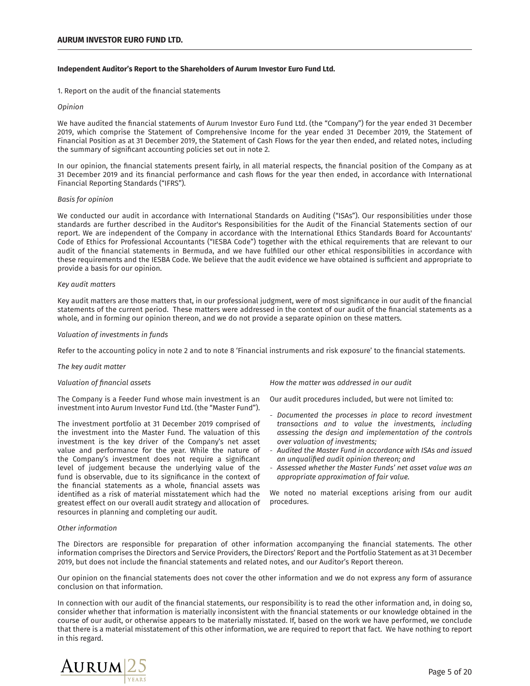# **Independent Auditor's Report to the Shareholders of Aurum Investor Euro Fund Ltd.**

1. Report on the audit of the financial statements

# *Opinion*

We have audited the financial statements of Aurum Investor Euro Fund Ltd. (the "Company") for the year ended 31 December 2019, which comprise the Statement of Comprehensive Income for the year ended 31 December 2019, the Statement of Financial Position as at 31 December 2019, the Statement of Cash Flows for the year then ended, and related notes, including the summary of significant accounting policies set out in note 2.

In our opinion, the financial statements present fairly, in all material respects, the financial position of the Company as at 31 December 2019 and its financial performance and cash flows for the year then ended, in accordance with International Financial Reporting Standards ("IFRS").

# *Basis for opinion*

We conducted our audit in accordance with International Standards on Auditing ("ISAs"). Our responsibilities under those standards are further described in the Auditor's Responsibilities for the Audit of the Financial Statements section of our report. We are independent of the Company in accordance with the International Ethics Standards Board for Accountants' Code of Ethics for Professional Accountants ("IESBA Code") together with the ethical requirements that are relevant to our audit of the financial statements in Bermuda, and we have fulfilled our other ethical responsibilities in accordance with these requirements and the IESBA Code. We believe that the audit evidence we have obtained is sufficient and appropriate to provide a basis for our opinion.

# *Key audit matters*

Key audit matters are those matters that, in our professional judgment, were of most significance in our audit of the financial statements of the current period. These matters were addressed in the context of our audit of the financial statements as a whole, and in forming our opinion thereon, and we do not provide a separate opinion on these matters.

# *Valuation of investments in funds*

Refer to the accounting policy in note 2 and to note 8 'Financial instruments and risk exposure' to the financial statements.

# *õǝƟ-ȄƟ˃-ŔʙƌǨʄ-ȜŔʄʄƟɧ*

# *ġŔȊʙŔʄǨȲȢ-ȲLJ-˩ȢŔȢƂǨŔȊ-ŔɷɷƟʄɷ-*

The Company is a Feeder Fund whose main investment is an investment into Aurum Investor Fund Ltd. (the "Master Fund").

The investment portfolio at 31 December 2019 comprised of the investment into the Master Fund. The valuation of this investment is the key driver of the Company's net asset value and performance for the year. While the nature of the Company's investment does not require a significant level of judgement because the underlying value of the fund is observable, due to its significance in the context of the financial statements as a whole, financial assets was identified as a risk of material misstatement which had the greatest effect on our overall audit strategy and allocation of resources in planning and completing our audit.

How the matter was addressed in our audit

Our audit procedures included, but were not limited to:

- Documented the processes in place to record investment transactions and to value the investments, including assessing the design and implementation of the controls *over valuation of investments;*
- Audited the Master Fund in accordance with ISAs and issued an unqualified audit opinion thereon; and
- Assessed whether the Master Funds' net asset value was an *Appropriate approximation of fair value.*

We noted no material exceptions arising from our audit procedures.

# *°ʄǝƟɧ-ǨȢLJȲɧȜŔʄǨȲȢ*

The Directors are responsible for preparation of other information accompanying the financial statements. The other information comprises the Directors and Service Providers, the Directors' Report and the Portfolio Statement as at 31 December 2019, but does not include the financial statements and related notes, and our Auditor's Report thereon.

Our opinion on the financial statements does not cover the other information and we do not express any form of assurance conclusion on that information.

In connection with our audit of the financial statements, our responsibility is to read the other information and, in doing so, consider whether that information is materially inconsistent with the financial statements or our knowledge obtained in the course of our audit, or otherwise appears to be materially misstated. If, based on the work we have performed, we conclude that there is a material misstatement of this other information, we are required to report that fact. We have nothing to report in this regard.

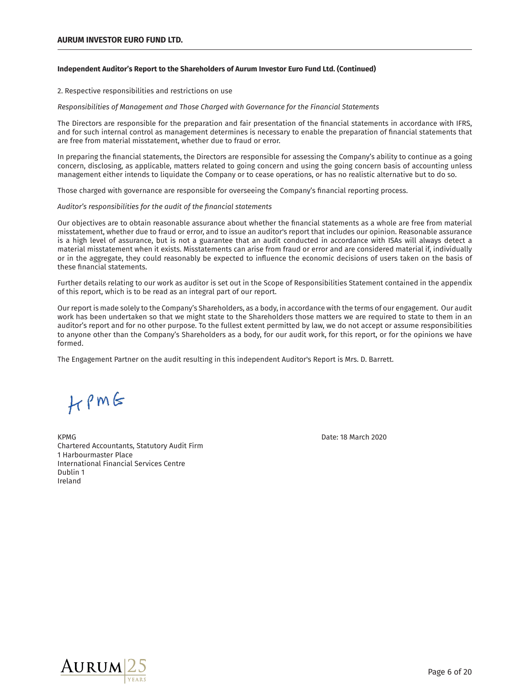# **Independent Auditor's Report to the Shareholders of Aurum Investor Euro Fund Ltd. (Continued)**

2. Respective responsibilities and restrictions on use

*R*esponsibilities of Management and Those Charged with Governance for the Financial Statements

The Directors are responsible for the preparation and fair presentation of the financial statements in accordance with IFRS, and for such internal control as management determines is necessary to enable the preparation of financial statements that are free from material misstatement, whether due to fraud or error.

In preparing the financial statements, the Directors are responsible for assessing the Company's ability to continue as a going concern, disclosing, as applicable, matters related to going concern and using the going concern basis of accounting unless management either intends to liquidate the Company or to cease operations, or has no realistic alternative but to do so.

Those charged with governance are responsible for overseeing the Company's financial reporting process.

*ʙƌǨʄȲɧࢪɷ-ɧƟɷɝȲȢɷǨŸǨȊǨʄǨƟɷ-LJȲɧ-ʄǝƟ-ŔʙƌǨʄ-ȲLJ-ʄǝƟ-˩ȢŔȢƂǨŔȊ-ɷʄŔʄƟȜƟȢʄɷ*

Our objectives are to obtain reasonable assurance about whether the financial statements as a whole are free from material misstatement, whether due to fraud or error, and to issue an auditor's report that includes our opinion. Reasonable assurance is a high level of assurance, but is not a guarantee that an audit conducted in accordance with ISAs will always detect a material misstatement when it exists. Misstatements can arise from fraud or error and are considered material if, individually or in the aggregate, they could reasonably be expected to influence the economic decisions of users taken on the basis of these financial statements.

Further details relating to our work as auditor is set out in the Scope of Responsibilities Statement contained in the appendix of this report, which is to be read as an integral part of our report.

Our report is made solely to the Company's Shareholders, as a body, in accordance with the terms of our engagement. Our audit work has been undertaken so that we might state to the Shareholders those matters we are required to state to them in an auditor's report and for no other purpose. To the fullest extent permitted by law, we do not accept or assume responsibilities to anyone other than the Company's Shareholders as a body, for our audit work, for this report, or for the opinions we have formed.

The Engagement Partner on the audit resulting in this independent Auditor's Report is Mrs. D. Barrett.

 $H$   $\rho$  m  $6$ 

KPMG Date: 18 March 2020 Chartered Accountants, Statutory Audit Firm 1 Harbourmaster Place International Financial Services Centre Dublin 1 Ireland

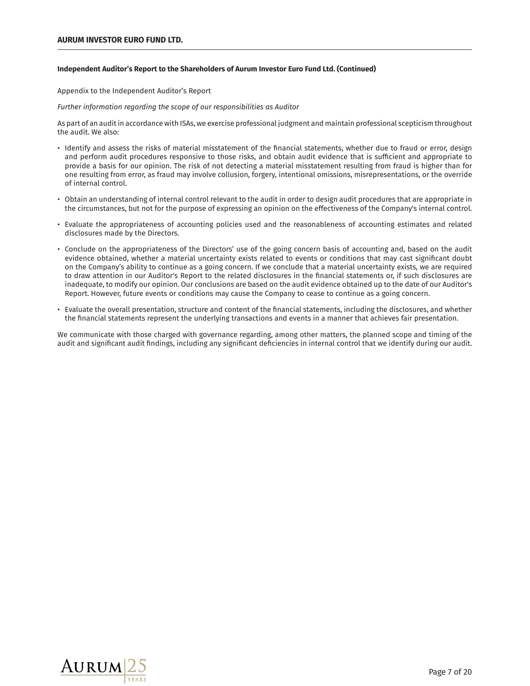# **Independent Auditor's Report to the Shareholders of Aurum Investor Euro Fund Ltd. (Continued)**

Appendix to the Independent Auditor's Report

*`ʙɧʄǝƟɧ-ǨȢLJȲɧȜŔʄǨȲȢ-ɧƟNJŔɧƌǨȢNJ-ʄǝƟ-ɷƂȲɝƟ-ȲLJ-Ȳʙɧ-ɧƟɷɝȲȢɷǨŸǨȊǨʄǨƟɷ-Ŕɷ-ʙƌǨʄȲɧ-*

As part of an audit in accordance with ISAs, we exercise professional judgment and maintain professional scepticism throughout the audit. We also:

- $\cdot$  Identify and assess the risks of material misstatement of the financial statements, whether due to fraud or error, design and perform audit procedures responsive to those risks, and obtain audit evidence that is sufficient and appropriate to provide a basis for our opinion. The risk of not detecting a material misstatement resulting from fraud is higher than for one resulting from error, as fraud may involve collusion, forgery, intentional omissions, misrepresentations, or the override of internal control.
- Obtain an understanding of internal control relevant to the audit in order to design audit procedures that are appropriate in the circumstances, but not for the purpose of expressing an opinion on the effectiveness of the Company's internal control.
- Evaluate the appropriateness of accounting policies used and the reasonableness of accounting estimates and related disclosures made by the Directors.
- Conclude on the appropriateness of the Directors' use of the going concern basis of accounting and, based on the audit evidence obtained, whether a material uncertainty exists related to events or conditions that may cast significant doubt on the Company's ability to continue as a going concern. If we conclude that a material uncertainty exists, we are required to draw attention in our Auditor's Report to the related disclosures in the financial statements or, if such disclosures are inadequate, to modify our opinion. Our conclusions are based on the audit evidence obtained up to the date of our Auditor's Report. However, future events or conditions may cause the Company to cease to continue as a going concern.
- $\cdot$  Evaluate the overall presentation, structure and content of the financial statements, including the disclosures, and whether the financial statements represent the underlying transactions and events in a manner that achieves fair presentation.

We communicate with those charged with governance regarding, among other matters, the planned scope and timing of the audit and significant audit findings, including any significant deficiencies in internal control that we identify during our audit.

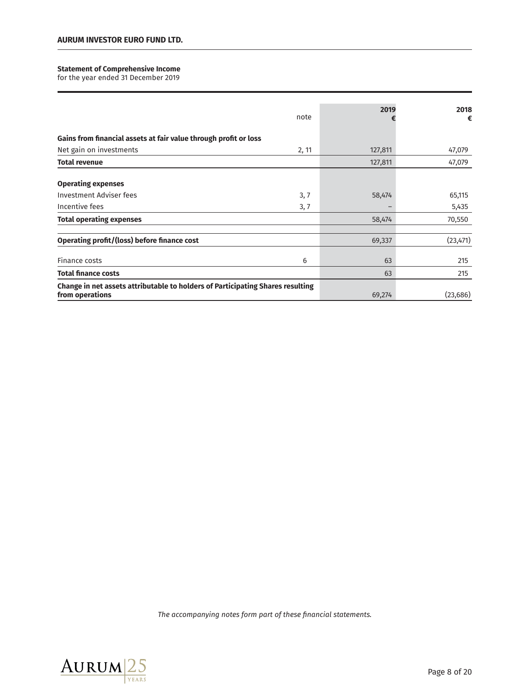# **Statement of Comprehensive Income**

for the year ended 31 December 2019

|                                                                                                   | note  | 2019    | 2018<br>€ |
|---------------------------------------------------------------------------------------------------|-------|---------|-----------|
| Gains from financial assets at fair value through profit or loss                                  |       |         |           |
| Net gain on investments                                                                           | 2, 11 | 127,811 | 47,079    |
| <b>Total revenue</b>                                                                              |       | 127,811 | 47,079    |
| <b>Operating expenses</b>                                                                         |       |         |           |
| <b>Investment Adviser fees</b>                                                                    | 3, 7  | 58,474  | 65,115    |
| Incentive fees                                                                                    | 3, 7  |         | 5,435     |
| <b>Total operating expenses</b>                                                                   |       | 58,474  | 70,550    |
| Operating profit/(loss) before finance cost                                                       |       | 69,337  | (23, 471) |
| Finance costs                                                                                     | 6     | 63      | 215       |
| <b>Total finance costs</b>                                                                        |       | 63      | 215       |
| Change in net assets attributable to holders of Participating Shares resulting<br>from operations |       | 69,274  | (23, 686) |

The accompanying notes form part of these financial statements.

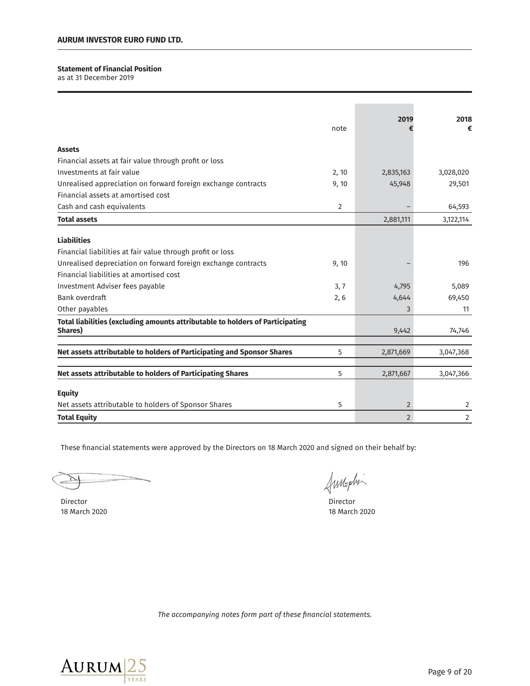# **Statement of Financial Position**

as at 31 December 2019

|                                                                               |       | 2019           | 2018      |
|-------------------------------------------------------------------------------|-------|----------------|-----------|
|                                                                               | note  |                | €         |
| <b>Assets</b>                                                                 |       |                |           |
| Financial assets at fair value through profit or loss                         |       |                |           |
| Investments at fair value                                                     | 2, 10 | 2,835,163      | 3,028,020 |
| Unrealised appreciation on forward foreign exchange contracts                 | 9,10  | 45,948         | 29,501    |
| Financial assets at amortised cost                                            |       |                |           |
| Cash and cash equivalents                                                     | 2     |                | 64,593    |
| <b>Total assets</b>                                                           |       | 2,881,111      | 3,122,114 |
|                                                                               |       |                |           |
| <b>Liabilities</b>                                                            |       |                |           |
| Financial liabilities at fair value through profit or loss                    |       |                |           |
| Unrealised depreciation on forward foreign exchange contracts                 | 9,10  |                | 196       |
| Financial liabilities at amortised cost                                       |       |                |           |
| Investment Adviser fees payable                                               | 3, 7  | 4,795          | 5,089     |
| Bank overdraft                                                                | 2, 6  | 4,644          | 69,450    |
| Other payables                                                                |       | 3              | 11        |
| Total liabilities (excluding amounts attributable to holders of Participating |       |                |           |
| Shares)                                                                       |       | 9,442          | 74,746    |
| Net assets attributable to holders of Participating and Sponsor Shares        | 5     | 2,871,669      | 3,047,368 |
|                                                                               |       |                |           |
| Net assets attributable to holders of Participating Shares                    | 5     | 2,871,667      | 3,047,366 |
| <b>Equity</b>                                                                 |       |                |           |
| Net assets attributable to holders of Sponsor Shares                          | 5     | $\overline{2}$ | 2         |
| <b>Total Equity</b>                                                           |       | $\overline{2}$ | 2         |

These financial statements were approved by the Directors on 18 March 2020 and signed on their behalf by:

Director Director 18 March 2020

Annaphi

March 2020

The accompanying notes form part of these financial statements.

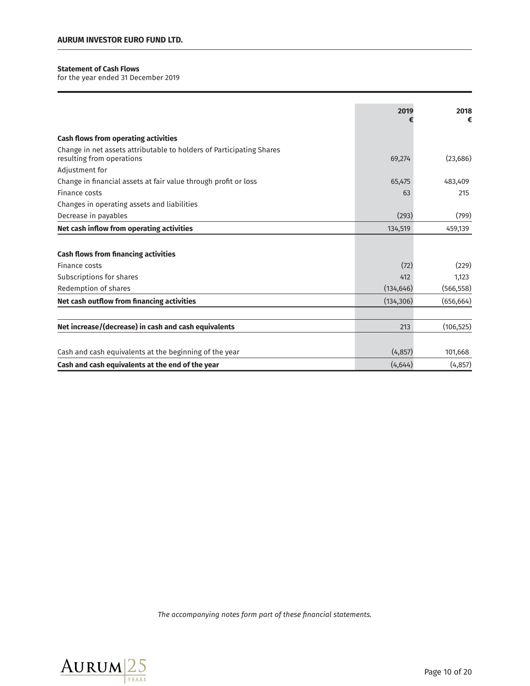# **Statement of Cash Flows**

for the year ended 31 December 2019

|                                                                                                   | 2019       | 2018<br>€  |
|---------------------------------------------------------------------------------------------------|------------|------------|
| <b>Cash flows from operating activities</b>                                                       |            |            |
| Change in net assets attributable to holders of Participating Shares<br>resulting from operations | 69,274     | (23, 686)  |
| Adjustment for                                                                                    |            |            |
| Change in financial assets at fair value through profit or loss                                   | 65,475     | 483,409    |
| Finance costs                                                                                     | 63         | 215        |
| Changes in operating assets and liabilities                                                       |            |            |
| Decrease in payables                                                                              | (293)      | (799)      |
| Net cash inflow from operating activities                                                         | 134,519    | 459,139    |
|                                                                                                   |            |            |
| <b>Cash flows from financing activities</b>                                                       |            |            |
| Finance costs                                                                                     | (72)       | (229)      |
| Subscriptions for shares                                                                          | 412        | 1,123      |
| Redemption of shares                                                                              | (134, 646) | (566, 558) |
| Net cash outflow from financing activities                                                        | (134, 306) | (656, 664) |
|                                                                                                   |            |            |
| Net increase/(decrease) in cash and cash equivalents                                              | 213        | (106, 525) |
|                                                                                                   |            |            |
| Cash and cash equivalents at the beginning of the year                                            | (4, 857)   | 101,668    |
| Cash and cash equivalents at the end of the year                                                  | (4,644)    | (4, 857)   |

The accompanying notes form part of these financial statements.

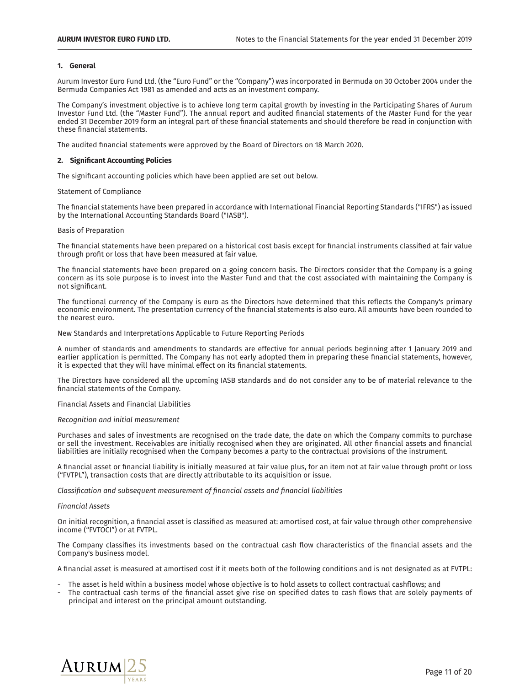#### 1. **General**

Aurum Investor Euro Fund Ltd. (the "Euro Fund" or the "Company") was incorporated in Bermuda on 30 October 2004 under the Bermuda Companies Act 1981 as amended and acts as an investment company.

The Company's investment objective is to achieve long term capital growth by investing in the Participating Shares of Aurum Investor Fund Ltd. (the "Master Fund"). The annual report and audited financial statements of the Master Fund for the year ended 31 December 2019 form an integral part of these financial statements and should therefore be read in conjunction with these financial statements.

The audited financial statements were approved by the Board of Directors on 18 March 2020.

# 2. Significant Accounting Policies

The significant accounting policies which have been applied are set out below.

#### Statement of Compliance

The financial statements have been prepared in accordance with International Financial Reporting Standards ("IFRS") as issued by the International Accounting Standards Board ("IASB").

#### Basis of Preparation

The financial statements have been prepared on a historical cost basis except for financial instruments classified at fair value through profit or loss that have been measured at fair value.

The financial statements have been prepared on a going concern basis. The Directors consider that the Company is a going concern as its sole purpose is to invest into the Master Fund and that the cost associated with maintaining the Company is not significant.

The functional currency of the Company is euro as the Directors have determined that this reflects the Company's primary economic environment. The presentation currency of the financial statements is also euro. All amounts have been rounded to the nearest euro.

New Standards and Interpretations Applicable to Future Reporting Periods

A number of standards and amendments to standards are effective for annual periods beginning after 1 January 2019 and earlier application is permitted. The Company has not early adopted them in preparing these financial statements, however, it is expected that they will have minimal effect on its financial statements.

The Directors have considered all the upcoming IASB standards and do not consider any to be of material relevance to the financial statements of the Company.

Financial Assets and Financial Liabilities

#### *áƟƂȲNJȢǨʄǨȲȢ-ŔȢƌ-ǨȢǨʄǨŔȊ-ȜƟŔɷʙɧƟȜƟȢʄ*

Purchases and sales of investments are recognised on the trade date, the date on which the Company commits to purchase or sell the investment. Receivables are initially recognised when they are originated. All other financial assets and financial liabilities are initially recognised when the Company becomes a party to the contractual provisions of the instrument.

A financial asset or financial liability is initially measured at fair value plus, for an item not at fair value through profit or loss ("FVTPL"), transaction costs that are directly attributable to its acquisition or issue.

*,ȊŔɷɷǨ˩ƂŔʄǨȲȢ-ŔȢƌ-ɷʙŸɷƟɣʙƟȢʄ-ȜƟŔɷʙɧƟȜƟȢʄ-ȲLJ-˩ȢŔȢƂǨŔȊ-ŔɷɷƟʄɷ-ŔȢƌ-˩ȢŔȢƂǨŔȊ-ȊǨŔŸǨȊǨʄǨƟɷ*

#### *`ǨȢŔȢƂǨŔȊ-ɷɷƟʄɷ*

On initial recognition, a financial asset is classified as measured at: amortised cost, at fair value through other comprehensive income ("FVTOCI") or at FVTPL.

The Company classifies its investments based on the contractual cash flow characteristics of the financial assets and the Company's business model.

A financial asset is measured at amortised cost if it meets both of the following conditions and is not designated as at FVTPL:

- The asset is held within a business model whose objective is to hold assets to collect contractual cashflows; and
- The contractual cash terms of the financial asset give rise on specified dates to cash flows that are solely payments of principal and interest on the principal amount outstanding.

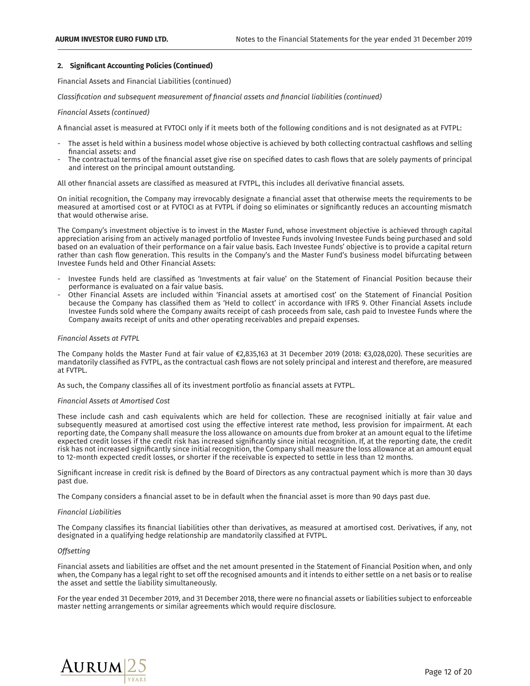# 2. Significant Accounting Policies (Continued)

Financial Assets and Financial Liabilities (continued)

*,ȊŔɷɷǨ˩ƂŔʄǨȲȢ-ŔȢƌ-ɷʙŸɷƟɣʙƟȢʄ-ȜƟŔɷʙɧƟȜƟȢʄ-ȲLJ-˩ȢŔȢƂǨŔȊ-ŔɷɷƟʄɷ-ŔȢƌ-˩ȢŔȢƂǨŔȊ-ȊǨŔŸǨȊǨʄǨƟɷ-ࢇƂȲȢʄǨȢʙƟƌ࢈*

# *`ǨȢŔȢƂǨŔȊ-ɷɷƟʄɷ-ࢇƂȲȢʄǨȢʙƟƌ࢈*

A financial asset is measured at FVTOCI only if it meets both of the following conditions and is not designated as at FVTPL:

- The asset is held within a business model whose objective is achieved by both collecting contractual cashflows and selling financial assets: and
- The contractual terms of the financial asset give rise on specified dates to cash flows that are solely payments of principal and interest on the principal amount outstanding.

All other financial assets are classified as measured at FVTPL, this includes all derivative financial assets.

On initial recognition, the Company may irrevocably designate a financial asset that otherwise meets the requirements to be measured at amortised cost or at FVTOCI as at FVTPL if doing so eliminates or significantly reduces an accounting mismatch that would otherwise arise.

The Company's investment objective is to invest in the Master Fund, whose investment objective is achieved through capital appreciation arising from an actively managed portfolio of Investee Funds involving Investee Funds being purchased and sold based on an evaluation of their performance on a fair value basis. Each Investee Funds' objective is to provide a capital return rather than cash flow generation. This results in the Company's and the Master Fund's business model bifurcating between Investee Funds held and Other Financial Assets:

- Investee Funds held are classified as 'Investments at fair value' on the Statement of Financial Position because their performance is evaluated on a fair value basis.
- Other Financial Assets are included within 'Financial assets at amortised cost' on the Statement of Financial Position because the Company has classified them as 'Held to collect' in accordance with IFRS 9. Other Financial Assets include Investee Funds sold where the Company awaits receipt of cash proceeds from sale, cash paid to Investee Funds where the Company awaits receipt of units and other operating receivables and prepaid expenses.

# *`ǨȢŔȢƂǨŔȊ-ɷɷƟʄɷ-Ŕʄ-`ġõÚ*

The Company holds the Master Fund at fair value of €2,835,163 at 31 December 2019 (2018: €3,028,020). These securities are mandatorily classified as FVTPL, as the contractual cash flows are not solely principal and interest and therefore, are measured at FVTPL.

As such, the Company classifies all of its investment portfolio as financial assets at FVTPL.

### *`ǨȢŔȢƂǨŔȊ-ɷɷƟʄɷ-Ŕʄ-ȜȲɧʄǨɷƟƌ-,Ȳɷʄ*

These include cash and cash equivalents which are held for collection. These are recognised initially at fair value and subsequently measured at amortised cost using the effective interest rate method, less provision for impairment. At each reporting date, the Company shall measure the loss allowance on amounts due from broker at an amount equal to the lifetime expected credit losses if the credit risk has increased significantly since initial recognition. If, at the reporting date, the credit risk has not increased significantly since initial recognition, the Company shall measure the loss allowance at an amount equal to 12-month expected credit losses, or shorter if the receivable is expected to settle in less than 12 months.

Significant increase in credit risk is defined by the Board of Directors as any contractual payment which is more than 30 days past due.

The Company considers a financial asset to be in default when the financial asset is more than 90 days past due.

# *`ǨȢŔȢƂǨŔȊ-ǨŔŸǨȊǨʄǨƟɷ*

The Company classifies its financial liabilities other than derivatives, as measured at amortised cost. Derivatives, if any, not designated in a qualifying hedge relationship are mandatorily classified at FVTPL.

#### *Offsetting*

Financial assets and liabilities are offset and the net amount presented in the Statement of Financial Position when, and only when, the Company has a legal right to set off the recognised amounts and it intends to either settle on a net basis or to realise the asset and settle the liability simultaneously.

For the year ended 31 December 2019, and 31 December 2018, there were no financial assets or liabilities subject to enforceable master netting arrangements or similar agreements which would require disclosure.

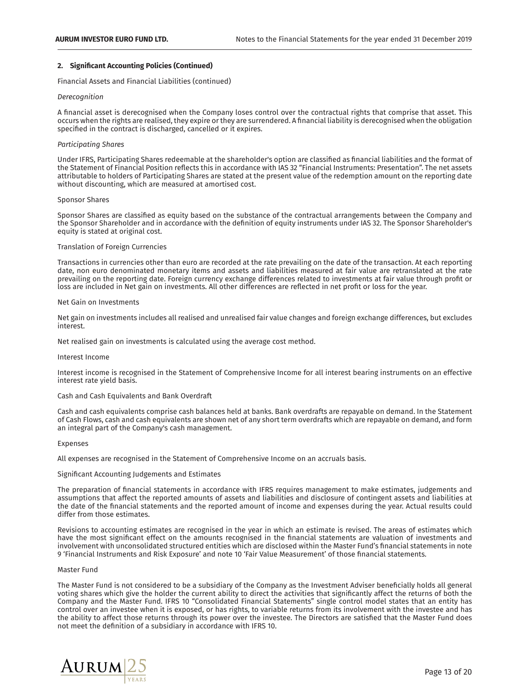# 2. Significant Accounting Policies (Continued)

Financial Assets and Financial Liabilities (continued)

#### Derecognition

A financial asset is derecognised when the Company loses control over the contractual rights that comprise that asset. This occurs when the rights are realised, they expire or they are surrendered. A financial liability is derecognised when the obligation specified in the contract is discharged, cancelled or it expires.

# *ÚŔɧʄǨƂǨɝŔʄǨȢNJ-êǝŔɧƟɷ*

Under IFRS, Participating Shares redeemable at the shareholder's option are classified as financial liabilities and the format of οποιείται της επίσημασης επίστευς στο επίστημα του συναντικό του με το προσπάθει το παραπολειτικό προσπάθει πο<br>the Statement of Financial Position reflects this in accordance with IAS 32 "Financial Instruments: Presentat attributable to holders of Participating Shares are stated at the present value of the redemption amount on the reporting date without discounting, which are measured at amortised cost.

#### Sponsor Shares

Sponsor Shares are classified as equity based on the substance of the contractual arrangements between the Company and the Sponsor Shareholder and in accordance with the definition of equity instruments under IAS 32. The Sponsor Shareholder's equity is stated at original cost.

# Translation of Foreign Currencies

Transactions in currencies other than euro are recorded at the rate prevailing on the date of the transaction. At each reporting date, non euro denominated monetary items and assets and liabilities measured at fair value are retranslated at the rate prevailing on the reporting date. Foreign currency exchange differences related to investments at fair value through profit or loss are included in Net gain on investments. All other differences are reflected in net profit or loss for the year.

#### Net Gain on Investments

Net gain on investments includes all realised and unrealised fair value changes and foreign exchange differences, but excludes interest.

Net realised gain on investments is calculated using the average cost method.

#### Interest Income

Interest income is recognised in the Statement of Comprehensive Income for all interest bearing instruments on an effective interest rate yield basis.

#### Cash and Cash Equivalents and Bank Overdraft

Cash and cash equivalents comprise cash balances held at banks. Bank overdrafts are repayable on demand. In the Statement of Cash Flows, cash and cash equivalents are shown net of any short term overdrafts which are repayable on demand, and form an integral part of the Company's cash management.

#### Expenses

All expenses are recognised in the Statement of Comprehensive Income on an accruals basis.

#### Significant Accounting Judgements and Estimates

The preparation of financial statements in accordance with IFRS requires management to make estimates, judgements and assumptions that affect the reported amounts of assets and liabilities and disclosure of contingent assets and liabilities at the date of the financial statements and the reported amount of income and expenses during the year. Actual results could differ from those estimates.

Revisions to accounting estimates are recognised in the year in which an estimate is revised. The areas of estimates which have the most significant effect on the amounts recognised in the financial statements are valuation of investments and involvement with unconsolidated structured entities which are disclosed within the Master Fund's financial statements in note 9 'Financial Instruments and Risk Exposure' and note 10 'Fair Value Measurement' of those financial statements.

#### Master Fund

The Master Fund is not considered to be a subsidiary of the Company as the Investment Adviser beneficially holds all general voting shares which give the holder the current ability to direct the activities that significantly affect the returns of both the Company and the Master Fund. IFRS 10 "Consolidated Financial Statements" single control model states that an entity has control over an investee when it is exposed, or has rights, to variable returns from its involvement with the investee and has the ability to affect those returns through its power over the investee. The Directors are satisfied that the Master Fund does not meet the definition of a subsidiary in accordance with IFRS 10.

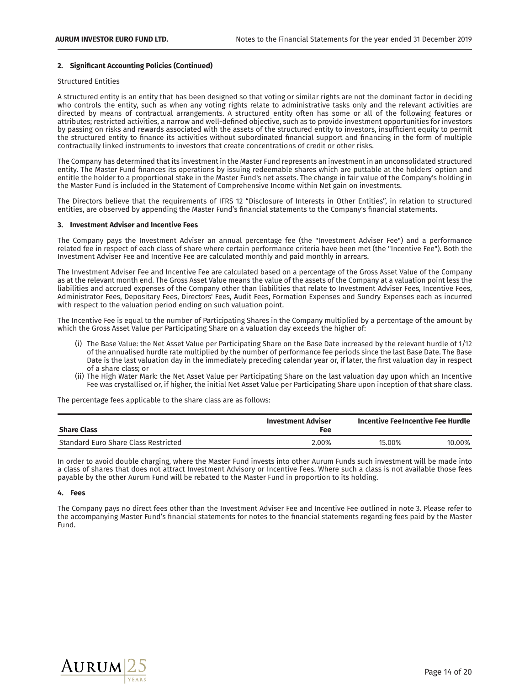# 2. Significant Accounting Policies (Continued)

# Structured Entities

A structured entity is an entity that has been designed so that voting or similar rights are not the dominant factor in deciding who controls the entity, such as when any voting rights relate to administrative tasks only and the relevant activities are directed by means of contractual arrangements. A structured entity often has some or all of the following features or attributes; restricted activities, a narrow and well-defined objective, such as to provide investment opportunities for investors by passing on risks and rewards associated with the assets of the structured entity to investors, insufficient equity to permit the structured entity to finance its activities without subordinated financial support and financing in the form of multiple contractually linked instruments to investors that create concentrations of credit or other risks.

The Company has determined that its investment in the Master Fund represents an investment in an unconsolidated structured entity. The Master Fund finances its operations by issuing redeemable shares which are puttable at the holders' option and entitle the holder to a proportional stake in the Master Fund's net assets. The change in fair value of the Company's holding in the Master Fund is included in the Statement of Comprehensive Income within Net gain on investments.

The Directors believe that the requirements of IFRS 12 "Disclosure of Interests in Other Entities", in relation to structured entities, are observed by appending the Master Fund's financial statements to the Company's financial statements.

#### **ࢱࢱࢱࢱࡲࠂzȥʽơɽʋȟơȥʋ-Ǝʽǫɽơɭ-ŔȥƎ-zȥƃơȥʋǫʽơ-bơơɽ**

The Company pays the Investment Adviser an annual percentage fee (the "Investment Adviser Fee") and a performance related fee in respect of each class of share where certain performance criteria have been met (the "Incentive Fee"). Both the Investment Adviser Fee and Incentive Fee are calculated monthly and paid monthly in arrears.

The Investment Adviser Fee and Incentive Fee are calculated based on a percentage of the Gross Asset Value of the Company as at the relevant month end. The Gross Asset Value means the value of the assets of the Company at a valuation point less the liabilities and accrued expenses of the Company other than liabilities that relate to Investment Adviser Fees, Incentive Fees, Administrator Fees, Depositary Fees, Directors' Fees, Audit Fees, Formation Expenses and Sundry Expenses each as incurred with respect to the valuation period ending on such valuation point.

The Incentive Fee is equal to the number of Participating Shares in the Company multiplied by a percentage of the amount by which the Gross Asset Value per Participating Share on a valuation day exceeds the higher of:

- (i) The Base Value: the Net Asset Value per Participating Share on the Base Date increased by the relevant hurdle of 1/12 of the annualised hurdle rate multiplied by the number of performance fee periods since the last Base Date. The Base Date is the last valuation day in the immediately preceding calendar year or, if later, the first valuation day in respect of a share class; or
- (ii) The High Water Mark: the Net Asset Value per Participating Share on the last valuation day upon which an Incentive Fee was crystallised or, if higher, the initial Net Asset Value per Participating Share upon inception of that share class.

The percentage fees applicable to the share class are as follows:

| <b>Share Class</b>                   | <b>Investment Adviser</b><br><b>Fee</b> | Incentive FeeIncentive Fee Hurdle |        |
|--------------------------------------|-----------------------------------------|-----------------------------------|--------|
| Standard Euro Share Class Restricted | 2.00%                                   | 15.00%                            | 10.00% |

In order to avoid double charging, where the Master Fund invests into other Aurum Funds such investment will be made into a class of shares that does not attract Investment Advisory or Incentive Fees. Where such a class is not available those fees payable by the other Aurum Fund will be rebated to the Master Fund in proportion to its holding.

## 4. Fees

The Company pays no direct fees other than the Investment Adviser Fee and Incentive Fee outlined in note 3. Please refer to the accompanying Master Fund's financial statements for notes to the financial statements regarding fees paid by the Master Fund.

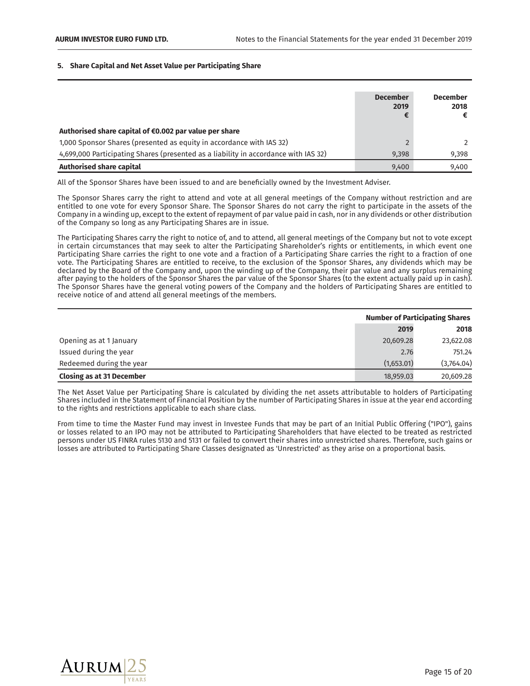#### **5.** Share Capital and Net Asset Value per Participating Share

|                                                                                     | <b>December</b><br>2019<br>Æ | <b>December</b><br>2018 |
|-------------------------------------------------------------------------------------|------------------------------|-------------------------|
| Authorised share capital of €0.002 par value per share                              |                              |                         |
| 1,000 Sponsor Shares (presented as equity in accordance with IAS 32)                |                              |                         |
| 4,699,000 Participating Shares (presented as a liability in accordance with IAS 32) | 9.398                        | 9,398                   |
| Authorised share capital                                                            | 9,400                        | 9.400                   |

All of the Sponsor Shares have been issued to and are beneficially owned by the Investment Adviser.

The Sponsor Shares carry the right to attend and vote at all general meetings of the Company without restriction and are entitled to one vote for every Sponsor Share. The Sponsor Shares do not carry the right to participate in the assets of the Company in a winding up, except to the extent of repayment of par value paid in cash, nor in any dividends or other distribution of the Company so long as any Participating Shares are in issue.

The Participating Shares carry the right to notice of, and to attend, all general meetings of the Company but not to vote except in certain circumstances that may seek to alter the Participating Shareholder's rights or entitlements, in which event one Participating Share carries the right to one vote and a fraction of a Participating Share carries the right to a fraction of one vote. The Participating Shares are entitled to receive, to the exclusion of the Sponsor Shares, any dividends which may be declared by the Board of the Company and, upon the winding up of the Company, their par value and any surplus remaining after paying to the holders of the Sponsor Shares the par value of the Sponsor Shares (to the extent actually paid up in cash). The Sponsor Shares have the general voting powers of the Company and the holders of Participating Shares are entitled to receive notice of and attend all general meetings of the members.

|                                  | <b>Number of Participating Shares</b> |            |  |
|----------------------------------|---------------------------------------|------------|--|
|                                  | 2019                                  | 2018       |  |
| Opening as at 1 January          | 20,609.28                             | 23,622.08  |  |
| Issued during the year           | 2.76                                  | 751.24     |  |
| Redeemed during the year         | (1,653.01)                            | (3,764.04) |  |
| <b>Closing as at 31 December</b> | 18,959.03                             | 20.609.28  |  |

The Net Asset Value per Participating Share is calculated by dividing the net assets attributable to holders of Participating Shares included in the Statement of Financial Position by the number of Participating Shares in issue at the year end according to the rights and restrictions applicable to each share class.

From time to time the Master Fund may invest in Investee Funds that may be part of an Initial Public Offering ("IPO"), gains or losses related to an IPO may not be attributed to Participating Shareholders that have elected to be treated as restricted persons under US FINRA rules 5130 and 5131 or failed to convert their shares into unrestricted shares. Therefore, such gains or losses are attributed to Participating Share Classes designated as 'Unrestricted' as they arise on a proportional basis.

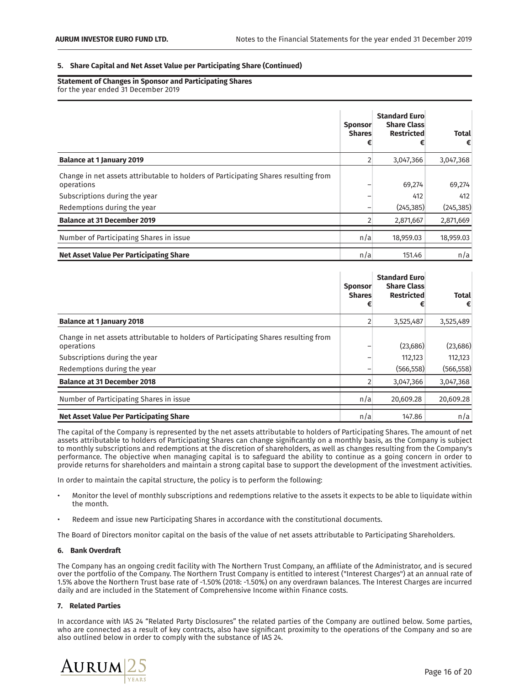#### **5.** Share Capital and Net Asset Value per Participating Share (Continued)

**Statement of Changes in Sponsor and Participating Shares** for the year ended 31 December 2019

|                                                                                                   | <b>Sponsor</b><br><b>Shares</b> | <b>Standard Euro</b><br><b>Share Class</b><br><b>Restricted</b> | <b>Total</b><br>€ |
|---------------------------------------------------------------------------------------------------|---------------------------------|-----------------------------------------------------------------|-------------------|
| <b>Balance at 1 January 2019</b>                                                                  | $\overline{2}$                  | 3,047,366                                                       | 3,047,368         |
| Change in net assets attributable to holders of Participating Shares resulting from<br>operations |                                 | 69,274                                                          | 69,274            |
| Subscriptions during the year                                                                     |                                 | 412                                                             | 412               |
| Redemptions during the year                                                                       |                                 | (245, 385)                                                      | (245, 385)        |
| <b>Balance at 31 December 2019</b>                                                                |                                 | 2,871,667                                                       | 2,871,669         |
| Number of Participating Shares in issue                                                           | n/a                             | 18,959.03                                                       | 18,959.03         |
| <b>Net Asset Value Per Participating Share</b>                                                    | n/a                             | 151.46                                                          | n/a               |

|                                                                                                                                    | <b>Sponsor</b><br><b>Shares</b> | <b>Standard Euro</b><br><b>Share Class</b><br><b>Restricted</b> | <b>Total</b><br>€       |
|------------------------------------------------------------------------------------------------------------------------------------|---------------------------------|-----------------------------------------------------------------|-------------------------|
| <b>Balance at 1 January 2018</b>                                                                                                   | $\overline{2}$                  | 3,525,487                                                       | 3,525,489               |
| Change in net assets attributable to holders of Participating Shares resulting from<br>operations<br>Subscriptions during the year |                                 | (23,686)<br>112,123<br>(566, 558)                               | (23, 686)<br>112,123    |
| Redemptions during the year<br><b>Balance at 31 December 2018</b>                                                                  |                                 | 3,047,366                                                       | (566, 558)<br>3,047,368 |
| Number of Participating Shares in issue                                                                                            | n/a                             | 20,609.28                                                       | 20,609.28               |
| Net Asset Value Per Participating Share                                                                                            | n/a                             | 147.86                                                          | n/a                     |

The capital of the Company is represented by the net assets attributable to holders of Participating Shares. The amount of net assets attributable to holders of Participating Shares can change significantly on a monthly basis, as the Company is subject to monthly subscriptions and redemptions at the discretion of shareholders, as well as changes resulting from the Company's performance. The objective when managing capital is to safeguard the ability to continue as a going concern in order to provide returns for shareholders and maintain a strong capital base to support the development of the investment activities.

In order to maintain the capital structure, the policy is to perform the following:

- Monitor the level of monthly subscriptions and redemptions relative to the assets it expects to be able to liquidate within the month.
- Redeem and issue new Participating Shares in accordance with the constitutional documents.

The Board of Directors monitor capital on the basis of the value of net assets attributable to Participating Shareholders.

# **ࢱࢱࢱࢱࡲࠅ%Ŕȥȇ-¶ʽơɭƎɭŔljʋ**

The Company has an ongoing credit facility with The Northern Trust Company, an affiliate of the Administrator, and is secured over the portfolio of the Company. The Northern Trust Company is entitled to interest ("Interest Charges") at an annual rate of 1.5% above the Northern Trust base rate of -1.50% (2018: -1.50%) on any overdrawn balances. The Interest Charges are incurred daily and are included in the Statement of Comprehensive Income within Finance costs.

#### **ࢱࢱࢱࢱࡲࠆèơȍŔʋơƎ-áŔɭʋǫơɽ**

In accordance with IAS 24 "Related Party Disclosures" the related parties of the Company are outlined below. Some parties, who are connected as a result of key contracts, also have significant proximity to the operations of the Company and so are also outlined below in order to comply with the substance of IAS 24.

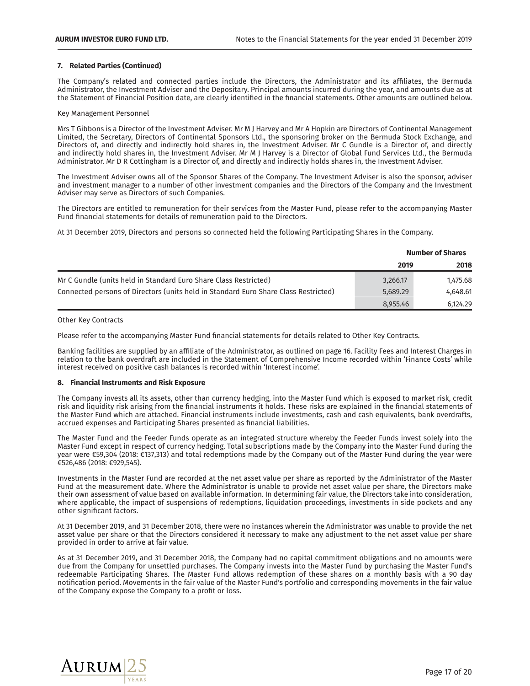#### **7.** Related Parties (Continued)

The Company's related and connected parties include the Directors, the Administrator and its affiliates, the Bermuda Administrator, the Investment Adviser and the Depositary. Principal amounts incurred during the year, and amounts due as at the Statement of Financial Position date, are clearly identified in the financial statements. Other amounts are outlined below.

Key Management Personnel

Mrs T Gibbons is a Director of the Investment Adviser. Mr M J Harvey and Mr A Hopkin are Directors of Continental Management Limited, the Secretary, Directors of Continental Sponsors Ltd., the sponsoring broker on the Bermuda Stock Exchange, and Directors of, and directly and indirectly hold shares in, the Investment Adviser. Mr C Gundle is a Director of, and directly and indirectly hold shares in, the Investment Adviser. Mr M J Harvey is a Director of Global Fund Services Ltd., the Bermuda Administrator. Mr D R Cottingham is a Director of, and directly and indirectly holds shares in, the Investment Adviser.

The Investment Adviser owns all of the Sponsor Shares of the Company. The Investment Adviser is also the sponsor, adviser and investment manager to a number of other investment companies and the Directors of the Company and the Investment Adviser may serve as Directors of such Companies.

The Directors are entitled to remuneration for their services from the Master Fund, please refer to the accompanying Master Fund financial statements for details of remuneration paid to the Directors.

At 31 December 2019, Directors and persons so connected held the following Participating Shares in the Company.

|                                                                                     | <b>Number of Shares</b> |          |  |
|-------------------------------------------------------------------------------------|-------------------------|----------|--|
|                                                                                     | 2019                    | 2018     |  |
| Mr C Gundle (units held in Standard Euro Share Class Restricted)                    | 3,266.17                | 1,475.68 |  |
| Connected persons of Directors (units held in Standard Euro Share Class Restricted) | 5.689.29                | 4.648.61 |  |
|                                                                                     | 8.955.46                | 6.124.29 |  |

Other Key Contracts

Please refer to the accompanying Master Fund financial statements for details related to Other Key Contracts.

Banking facilities are supplied by an affiliate of the Administrator, as outlined on page 16. Facility Fees and Interest Charges in relation to the bank overdraft are included in the Statement of Comprehensive Income recorded within 'Finance Costs' while interest received on positive cash balances is recorded within 'Interest income'.

# **ࢱࢱࢱࢱࡲࠇbǫȥŔȥƃǫŔȍ-zȥɽʋɭʠȟơȥʋɽ-ŔȥƎ-èǫɽȇ-Fˉɢȶɽʠɭơ**

The Company invests all its assets, other than currency hedging, into the Master Fund which is exposed to market risk, credit risk and liquidity risk arising from the financial instruments it holds. These risks are explained in the financial statements of the Master Fund which are attached. Financial instruments include investments, cash and cash equivalents, bank overdrafts, accrued expenses and Participating Shares presented as financial liabilities.

The Master Fund and the Feeder Funds operate as an integrated structure whereby the Feeder Funds invest solely into the Master Fund except in respect of currency hedging. Total subscriptions made by the Company into the Master Fund during the year were €59,304 (2018: €137,313) and total redemptions made by the Company out of the Master Fund during the year were €526,486 (2018: €929,545).

Investments in the Master Fund are recorded at the net asset value per share as reported by the Administrator of the Master Fund at the measurement date. Where the Administrator is unable to provide net asset value per share, the Directors make their own assessment of value based on available information. In determining fair value, the Directors take into consideration, where applicable, the impact of suspensions of redemptions, liquidation proceedings, investments in side pockets and any other significant factors.

At 31 December 2019, and 31 December 2018, there were no instances wherein the Administrator was unable to provide the net asset value per share or that the Directors considered it necessary to make any adjustment to the net asset value per share provided in order to arrive at fair value.

As at 31 December 2019, and 31 December 2018, the Company had no capital commitment obligations and no amounts were due from the Company for unsettled purchases. The Company invests into the Master Fund by purchasing the Master Fund's redeemable Participating Shares. The Master Fund allows redemption of these shares on a monthly basis with a 90 day notification period. Movements in the fair value of the Master Fund's portfolio and corresponding movements in the fair value of the Company expose the Company to a profit or loss.

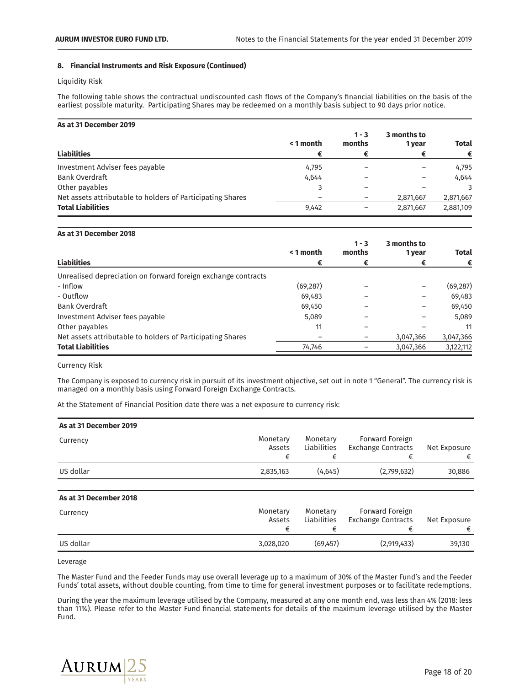## **ࢱࢱࢱࢱࡲࠇbǫȥŔȥƃǫŔȍ-zȥɽʋɭʠȟơȥʋɽ-ŔȥƎ-èǫɽȇ-Fˉɢȶɽʠɭơ-ࢎ-ȶȥʋǫȥʠơƎ**

Liquidity Risk

The following table shows the contractual undiscounted cash flows of the Company's financial liabilities on the basis of the earliest possible maturity. Participating Shares may be redeemed on a monthly basis subject to 90 days prior notice.

| As at 31 December 2019                                     |           |                   |                       |              |
|------------------------------------------------------------|-----------|-------------------|-----------------------|--------------|
|                                                            | < 1 month | $1 - 3$<br>months | 3 months to<br>1 year | <b>Total</b> |
| <b>Liabilities</b>                                         |           |                   | €                     | €            |
| Investment Adviser fees payable                            | 4,795     |                   |                       | 4,795        |
| <b>Bank Overdraft</b>                                      | 4,644     |                   |                       | 4,644        |
| Other payables                                             |           |                   |                       | 3            |
| Net assets attributable to holders of Participating Shares |           |                   | 2,871,667             | 2,871,667    |
| <b>Total Liabilities</b>                                   | 9,442     |                   | 2,871,667             | 2,881,109    |

#### **As at 31 December 2018**

|                                                               | < 1 month | $1 - 3$<br>months | 3 months to<br>1 year | <b>Total</b> |
|---------------------------------------------------------------|-----------|-------------------|-----------------------|--------------|
| <b>Liabilities</b>                                            |           |                   |                       | €            |
| Unrealised depreciation on forward foreign exchange contracts |           |                   |                       |              |
| - Inflow                                                      | (69, 287) |                   |                       | (69, 287)    |
| - Outflow                                                     | 69,483    |                   |                       | 69,483       |
| <b>Bank Overdraft</b>                                         | 69,450    |                   |                       | 69,450       |
| Investment Adviser fees payable                               | 5,089     |                   |                       | 5,089        |
| Other payables                                                | 11        |                   |                       | 11           |
| Net assets attributable to holders of Participating Shares    |           |                   | 3,047,366             | 3,047,366    |
| <b>Total Liabilities</b>                                      | 74,746    |                   | 3,047,366             | 3,122,112    |

Currency Risk

The Company is exposed to currency risk in pursuit of its investment objective, set out in note 1 "General". The currency risk is managed on a monthly basis using Forward Foreign Exchange Contracts.

At the Statement of Financial Position date there was a net exposure to currency risk:

| As at 31 December 2019 |                    |                         |                                              |                   |
|------------------------|--------------------|-------------------------|----------------------------------------------|-------------------|
| Currency               | Monetary<br>Assets | Monetary<br>Liabilities | Forward Foreign<br><b>Exchange Contracts</b> | Net Exposure<br>€ |
| US dollar              | 2,835,163          | (4,645)                 | (2,799,632)                                  | 30,886            |
|                        |                    |                         |                                              |                   |

# **As at 31 December 2018**

| Currency  | Monetary<br>Assets | Monetary<br><b>Liabilities</b> | Forward Foreign<br>Exchange Contracts | Net Exposure |
|-----------|--------------------|--------------------------------|---------------------------------------|--------------|
| US dollar | 3.028.020          | (69, 457)                      | (2,919,433)                           | 39.130       |

Leverage

The Master Fund and the Feeder Funds may use overall leverage up to a maximum of 30% of the Master Fund's and the Feeder Funds' total assets, without double counting, from time to time for general investment purposes or to facilitate redemptions.

During the year the maximum leverage utilised by the Company, measured at any one month end, was less than 4% (2018: less than 11%). Please refer to the Master Fund financial statements for details of the maximum leverage utilised by the Master Fund.

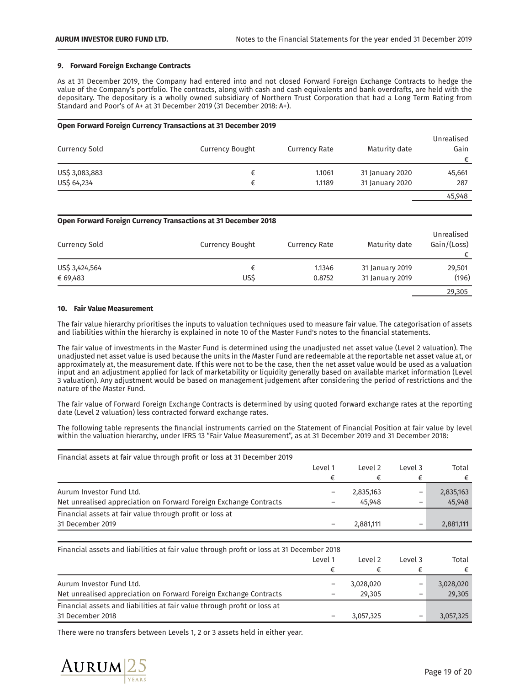#### **9. Forward Foreign Exchange Contracts**

As at 31 December 2019, the Company had entered into and not closed Forward Foreign Exchange Contracts to hedge the value of the Company's portfolio. The contracts, along with cash and cash equivalents and bank overdrafts, are held with the depositary. The depositary is a wholly owned subsidiary of Northern Trust Corporation that had a Long Term Rating from Standard and Poor's of A+ at 31 December 2019 (31 December 2018: A+).

# **Open Forward Foreign Currency Transactions at 31 December 2019**

| Currency Sold  | <b>Currency Bought</b> | Currency Rate | Maturity date   | Unrealised<br>Gain<br>€ |
|----------------|------------------------|---------------|-----------------|-------------------------|
| US\$ 3,083,883 |                        | 1.1061        | 31 January 2020 | 45,661                  |
| US\$ 64,234    |                        | 1.1189        | 31 January 2020 | 287                     |
|                |                        |               |                 | 45,948                  |

**Open Forward Foreign Currency Transactions at 31 December 2018** 

| Currency Sold  | <b>Currency Bought</b> | <b>Currency Rate</b> | Maturity date   | Unrealised<br>Gain/(Loss)<br>€ |
|----------------|------------------------|----------------------|-----------------|--------------------------------|
| US\$ 3,424,564 |                        | 1.1346               | 31 January 2019 | 29,501                         |
| € 69,483       | US\$                   | 0.8752               | 31 January 2019 | (196)                          |
|                |                        |                      |                 | 29,305                         |

#### **10. Fair Value Measurement**

The fair value hierarchy prioritises the inputs to valuation techniques used to measure fair value. The categorisation of assets and liabilities within the hierarchy is explained in note 10 of the Master Fund's notes to the financial statements.

The fair value of investments in the Master Fund is determined using the unadjusted net asset value (Level 2 valuation). The unadjusted net asset value is used because the units in the Master Fund are redeemable at the reportable net asset value at, or approximately at, the measurement date. If this were not to be the case, then the net asset value would be used as a valuation input and an adjustment applied for lack of marketability or liquidity generally based on available market information (Level 3 valuation). Any adjustment would be based on management judgement after considering the period of restrictions and the nature of the Master Fund.

The fair value of Forward Foreign Exchange Contracts is determined by using quoted forward exchange rates at the reporting date (Level 2 valuation) less contracted forward exchange rates.

The following table represents the financial instruments carried on the Statement of Financial Position at fair value by level within the valuation hierarchy, under IFRS 13 "Fair Value Measurement", as at 31 December 2019 and 31 December 2018:

| Financial assets at fair value through profit or loss at 31 December 2019 |         |           |         |           |
|---------------------------------------------------------------------------|---------|-----------|---------|-----------|
|                                                                           | Level 1 | Level 2   | Level 3 | Total     |
|                                                                           |         |           |         |           |
| Aurum Investor Fund Ltd.                                                  |         | 2,835,163 |         | 2,835,163 |
| Net unrealised appreciation on Forward Foreign Exchange Contracts         |         | 45.948    |         | 45,948    |
| Financial assets at fair value through profit or loss at                  |         |           |         |           |
| 31 December 2019                                                          |         | 2,881,111 |         | 2,881,111 |

Financial assets and liabilities at fair value through profit or loss at 31 December 2018

|                                                                                               | Level 1 | Level 2             | Level 3 | Total               |
|-----------------------------------------------------------------------------------------------|---------|---------------------|---------|---------------------|
|                                                                                               |         |                     |         | €                   |
| Aurum Investor Fund Ltd.<br>Net unrealised appreciation on Forward Foreign Exchange Contracts |         | 3,028,020<br>29.305 | -       | 3,028,020<br>29,305 |
| Financial assets and liabilities at fair value through profit or loss at                      |         |                     |         |                     |
| 31 December 2018                                                                              |         | 3,057,325           | -       | 3,057,325           |

There were no transfers between Levels 1, 2 or 3 assets held in either year.